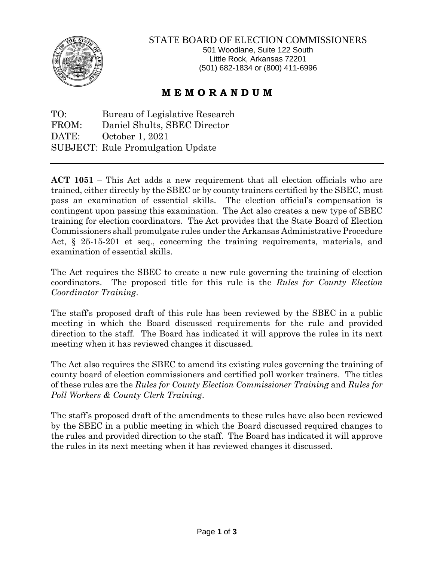

## STATE BOARD OF ELECTION COMMISSIONERS

501 Woodlane, Suite 122 South Little Rock, Arkansas 72201 (501) 682-1834 or (800) 411-6996

## **M E M O R A N D U M**

TO: Bureau of Legislative Research FROM: Daniel Shults, SBEC Director DATE: October 1, 2021 SUBJECT: Rule Promulgation Update

**ACT 1051** – This Act adds a new requirement that all election officials who are trained, either directly by the SBEC or by county trainers certified by the SBEC, must pass an examination of essential skills. The election official's compensation is contingent upon passing this examination. The Act also creates a new type of SBEC training for election coordinators. The Act provides that the State Board of Election Commissioners shall promulgate rules under the Arkansas Administrative Procedure Act, § 25-15-201 et seq., concerning the training requirements, materials, and examination of essential skills.

The Act requires the SBEC to create a new rule governing the training of election coordinators. The proposed title for this rule is the *Rules for County Election Coordinator Training*.

The staff's proposed draft of this rule has been reviewed by the SBEC in a public meeting in which the Board discussed requirements for the rule and provided direction to the staff. The Board has indicated it will approve the rules in its next meeting when it has reviewed changes it discussed.

The Act also requires the SBEC to amend its existing rules governing the training of county board of election commissioners and certified poll worker trainers. The titles of these rules are the *Rules for County Election Commissioner Training* and *Rules for Poll Workers & County Clerk Training*.

The staff's proposed draft of the amendments to these rules have also been reviewed by the SBEC in a public meeting in which the Board discussed required changes to the rules and provided direction to the staff. The Board has indicated it will approve the rules in its next meeting when it has reviewed changes it discussed.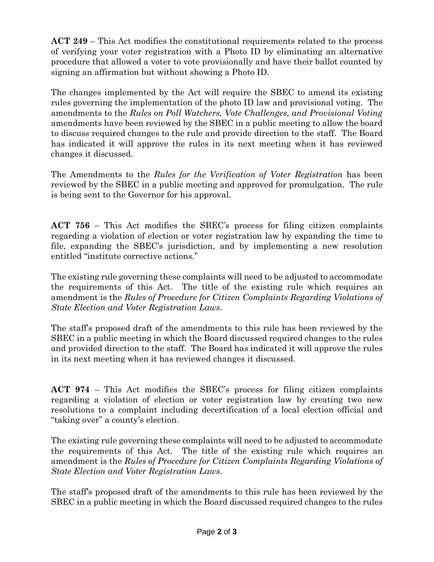**ACT 249** – This Act modifies the constitutional requirements related to the process of verifying your voter registration with a Photo ID by eliminating an alternative procedure that allowed a voter to vote provisionally and have their ballot counted by signing an affirmation but without showing a Photo ID.

The changes implemented by the Act will require the SBEC to amend its existing rules governing the implementation of the photo ID law and provisional voting. The amendments to the *Rules on Poll Watchers, Vote Challenges, and Provisional Voting* amendments have been reviewed by the SBEC in a public meeting to allow the board to discuss required changes to the rule and provide direction to the staff. The Board has indicated it will approve the rules in its next meeting when it has reviewed changes it discussed.

The Amendments to the *Rules for the Verification of Voter Registration* has been reviewed by the SBEC in a public meeting and approved for promulgation. The rule is being sent to the Governor for his approval.

**ACT 756** – This Act modifies the SBEC's process for filing citizen complaints regarding a violation of election or voter registration law by expanding the time to file, expanding the SBEC's jurisdiction, and by implementing a new resolution entitled "institute corrective actions."

The existing rule governing these complaints will need to be adjusted to accommodate the requirements of this Act. The title of the existing rule which requires an amendment is the *Rules of Procedure for Citizen Complaints Regarding Violations of State Election and Voter Registration Laws.* 

The staff's proposed draft of the amendments to this rule has been reviewed by the SBEC in a public meeting in which the Board discussed required changes to the rules and provided direction to the staff. The Board has indicated it will approve the rules in its next meeting when it has reviewed changes it discussed.

**ACT 974** – This Act modifies the SBEC's process for filing citizen complaints regarding a violation of election or voter registration law by creating two new resolutions to a complaint including decertification of a local election official and "taking over" a county's election.

The existing rule governing these complaints will need to be adjusted to accommodate the requirements of this Act. The title of the existing rule which requires an amendment is the *Rules of Procedure for Citizen Complaints Regarding Violations of State Election and Voter Registration Laws.* 

The staff's proposed draft of the amendments to this rule has been reviewed by the SBEC in a public meeting in which the Board discussed required changes to the rules